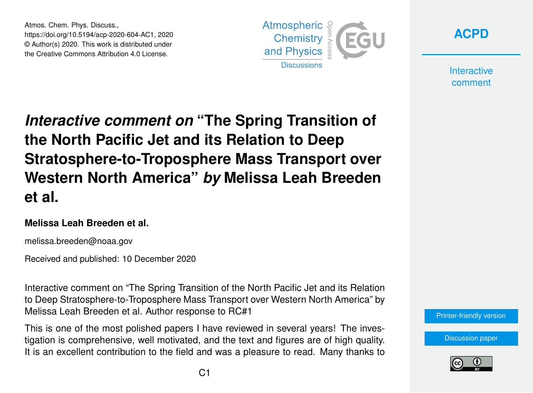Atmos. Chem. Phys. Discuss., https://doi.org/10.5194/acp-2020-604-AC1, 2020 © Author(s) 2020. This work is distributed under the Creative Commons Attribution 4.0 License.





**Interactive** comment

## *Interactive comment on* **"The Spring Transition of the North Pacific Jet and its Relation to Deep Stratosphere-to-Troposphere Mass Transport over Western North America"** *by* **Melissa Leah Breeden et al.**

## **Melissa Leah Breeden et al.**

melissa.breeden@noaa.gov

Received and published: 10 December 2020

Interactive comment on "The Spring Transition of the North Pacific Jet and its Relation to Deep Stratosphere-to-Troposphere Mass Transport over Western North America" by Melissa Leah Breeden et al. Author response to RC#1

This is one of the most polished papers I have reviewed in several years! The investigation is comprehensive, well motivated, and the text and figures are of high quality. It is an excellent contribution to the field and was a pleasure to read. Many thanks to



[Discussion paper](https://acp.copernicus.org/preprints/acp-2020-604)

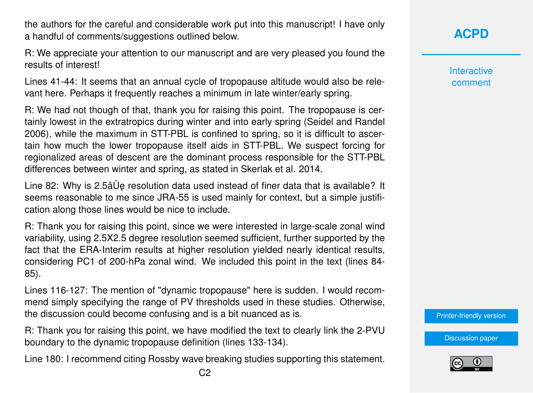the authors for the careful and considerable work put into this manuscript! I have only a handful of comments/suggestions outlined below.

R: We appreciate your attention to our manuscript and are very pleased you found the results of interest!

Lines 41-44: It seems that an annual cycle of tropopause altitude would also be relevant here. Perhaps it frequently reaches a minimum in late winter/early spring.

R: We had not though of that, thank you for raising this point. The tropopause is certainly lowest in the extratropics during winter and into early spring (Seidel and Randel 2006), while the maximum in STT-PBL is confined to spring, so it is difficult to ascertain how much the lower tropopause itself aids in STT-PBL. We suspect forcing for regionalized areas of descent are the dominant process responsible for the STT-PBL differences between winter and spring, as stated in Skerlak et al. 2014.

Line 82: Why is 2.5âUe resolution data used instead of finer data that is available? It seems reasonable to me since JRA-55 is used mainly for context, but a simple justification along those lines would be nice to include.

R: Thank you for raising this point, since we were interested in large-scale zonal wind variability, using 2.5X2.5 degree resolution seemed sufficient, further supported by the fact that the ERA-Interim results at higher resolution yielded nearly identical results, considering PC1 of 200-hPa zonal wind. We included this point in the text (lines 84- 85).

Lines 116-127: The mention of "dynamic tropopause" here is sudden. I would recommend simply specifying the range of PV thresholds used in these studies. Otherwise, the discussion could become confusing and is a bit nuanced as is.

R: Thank you for raising this point, we have modified the text to clearly link the 2-PVU boundary to the dynamic tropopause definition (lines 133-134).

Line 180: I recommend citing Rossby wave breaking studies supporting this statement.

**Interactive** comment

[Printer-friendly version](https://acp.copernicus.org/preprints/acp-2020-604/acp-2020-604-AC1-print.pdf)

[Discussion paper](https://acp.copernicus.org/preprints/acp-2020-604)